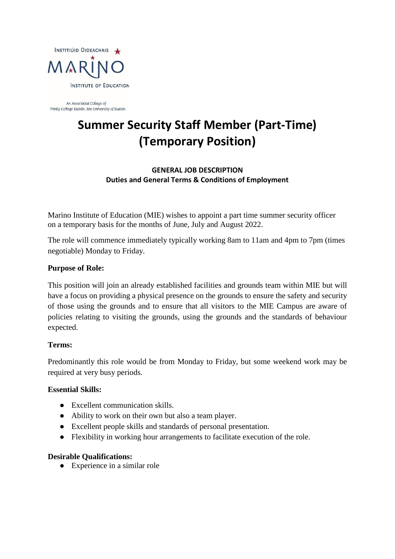

An Associated College of Trinity College Dublin, the University of Dublin

# **Summer Security Staff Member (Part-Time) (Temporary Position)**

**GENERAL JOB DESCRIPTION Duties and General Terms & Conditions of Employment** 

Marino Institute of Education (MIE) wishes to appoint a part time summer security officer on a temporary basis for the months of June, July and August 2022.

The role will commence immediately typically working 8am to 11am and 4pm to 7pm (times negotiable) Monday to Friday.

# **Purpose of Role:**

This position will join an already established facilities and grounds team within MIE but will have a focus on providing a physical presence on the grounds to ensure the safety and security of those using the grounds and to ensure that all visitors to the MIE Campus are aware of policies relating to visiting the grounds, using the grounds and the standards of behaviour expected.

#### **Terms:**

Predominantly this role would be from Monday to Friday, but some weekend work may be required at very busy periods.

#### **Essential Skills:**

- Excellent communication skills.
- Ability to work on their own but also a team player.
- Excellent people skills and standards of personal presentation.
- Flexibility in working hour arrangements to facilitate execution of the role.

#### **Desirable Qualifications:**

● Experience in a similar role